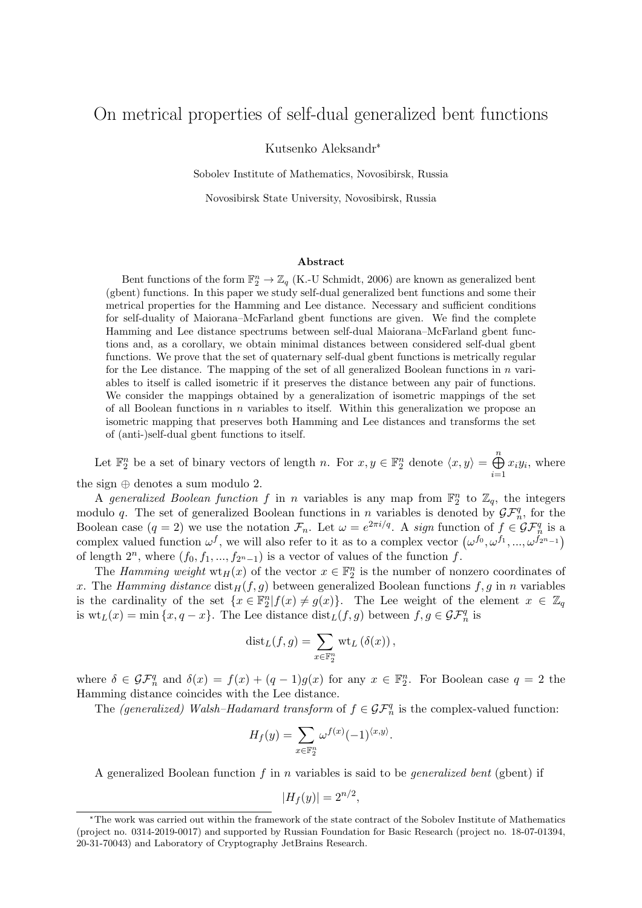# On metrical properties of self-dual generalized bent functions

Kutsenko Aleksandr\*

Sobolev Institute of Mathematics, Novosibirsk, Russia

Novosibirsk State University, Novosibirsk, Russia

#### Abstract

Bent functions of the form  $\mathbb{F}_2^n \to \mathbb{Z}_q$  (K.-U Schmidt, 2006) are known as generalized bent (gbent) functions. In this paper we study self-dual generalized bent functions and some their metrical properties for the Hamming and Lee distance. Necessary and sufficient conditions for self-duality of Maiorana–McFarland gbent functions are given. We find the complete Hamming and Lee distance spectrums between self-dual Maiorana–McFarland gbent functions and, as a corollary, we obtain minimal distances between considered self-dual gbent functions. We prove that the set of quaternary self-dual gbent functions is metrically regular for the Lee distance. The mapping of the set of all generalized Boolean functions in  $n$  variables to itself is called isometric if it preserves the distance between any pair of functions. We consider the mappings obtained by a generalization of isometric mappings of the set of all Boolean functions in  $n$  variables to itself. Within this generalization we propose an isometric mapping that preserves both Hamming and Lee distances and transforms the set of (anti-)self-dual gbent functions to itself.

Let  $\mathbb{F}_2^n$  be a set of binary vectors of length n. For  $x, y \in \mathbb{F}_2^n$  denote  $\langle x, y \rangle = \bigoplus^n$  $i=1$  $x_iy_i$ , where the sign ⊕ denotes a sum modulo 2.

A generalized Boolean function f in n variables is any map from  $\mathbb{F}_2^n$  to  $\mathbb{Z}_q$ , the integers modulo q. The set of generalized Boolean functions in n variables is denoted by  $\mathcal{GF}_{n}^{q}$ , for the Boolean case  $(q = 2)$  we use the notation  $\mathcal{F}_n$ . Let  $\omega = e^{2\pi i/q}$ . A sign function of  $f \in \mathcal{GF}_n^q$  is a complex valued function  $\omega^f$ , we will also refer to it as to a complex vector  $(\omega^{f_0}, \omega^{f_1}, ..., \omega^{f_{2^n-1}})$ of length  $2^n$ , where  $(f_0, f_1, ..., f_{2^n-1})$  is a vector of values of the function f.

The Hamming weight  $\text{wt}_H(x)$  of the vector  $x \in \mathbb{F}_2^n$  is the number of nonzero coordinates of x. The Hamming distance  $dist_H(f, g)$  between generalized Boolean functions f, g in n variables is the cardinality of the set  $\{x \in \mathbb{F}_2^n | f(x) \neq g(x)\}$ . The Lee weight of the element  $x \in \mathbb{Z}_q$ is  $\text{wt}_L(x) = \min\{x, q - x\}.$  The Lee distance  $\text{dist}_L(f, g)$  between  $f, g \in \mathcal{GF}_n^q$  is

$$
dist_L(f,g) = \sum_{x \in \mathbb{F}_2^n} wt_L(\delta(x)),
$$

where  $\delta \in \mathcal{GF}_{n}^{q}$  and  $\delta(x) = f(x) + (q-1)g(x)$  for any  $x \in \mathbb{F}_{2}^{n}$ . For Boolean case  $q = 2$  the Hamming distance coincides with the Lee distance.

The (generalized) Walsh–Hadamard transform of  $f \in \mathcal{GF}_n^q$  is the complex-valued function:

$$
H_f(y) = \sum_{x \in \mathbb{F}_2^n} \omega^{f(x)} (-1)^{\langle x, y \rangle}.
$$

A generalized Boolean function  $f$  in  $n$  variables is said to be *generalized bent* (gbent) if

$$
|H_f(y)| = 2^{n/2},
$$

<sup>\*</sup>The work was carried out within the framework of the state contract of the Sobolev Institute of Mathematics (project no. 0314-2019-0017) and supported by Russian Foundation for Basic Research (project no. 18-07-01394, 20-31-70043) and Laboratory of Cryptography JetBrains Research.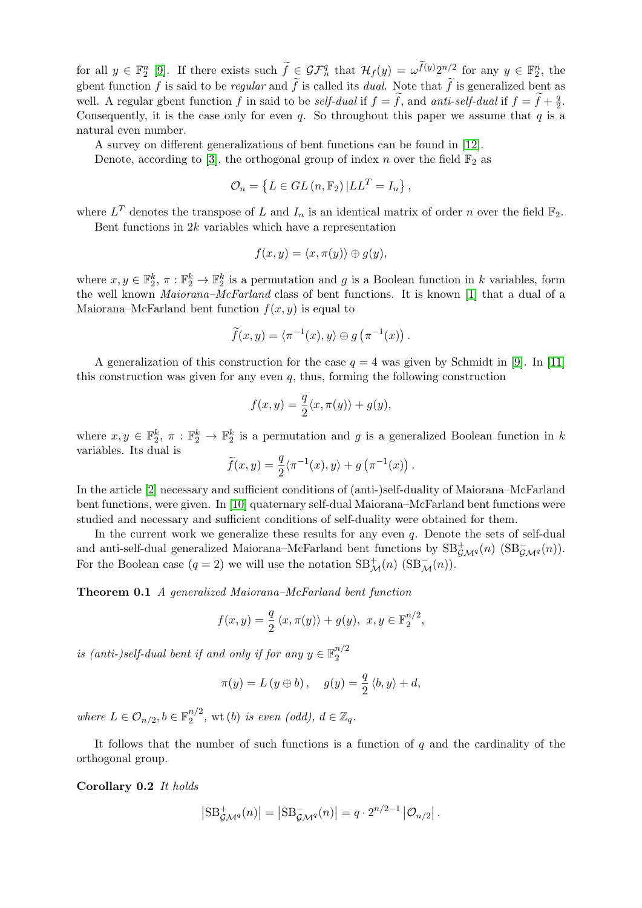for all  $y \in \mathbb{F}_2^n$  [\[9\]](#page-4-0). If there exists such  $\widetilde{f} \in \mathcal{GF}_n^q$  that  $\mathcal{H}_f(y) = \omega^{\widetilde{f}(y)} 2^{n/2}$  for any  $y \in \mathbb{F}_2^n$ , the gbent function f is said to be regular and f is called its dual. Note that f is generalized bent as well. A regular gbent function f in said to be *self-dual* if  $f = \tilde{f}$ , and anti-self-dual if  $f = \tilde{f} + \frac{q}{2}$  $\frac{q}{2}$ . Consequently, it is the case only for even  $q$ . So throughout this paper we assume that  $q$  is a natural even number.

A survey on different generalizations of bent functions can be found in [\[12\]](#page-4-1).

Denote, according to [\[3\]](#page-3-0), the orthogonal group of index n over the field  $\mathbb{F}_2$  as

$$
\mathcal{O}_n = \left\{ L \in GL\left(n, \mathbb{F}_2\right) | LL^T = I_n \right\},\
$$

where  $L^T$  denotes the transpose of L and  $I_n$  is an identical matrix of order n over the field  $\mathbb{F}_2$ . Bent functions in  $2k$  variables which have a representation

 $f(x, y) = \langle x, \pi(y) \rangle \oplus g(y),$ 

where  $x, y \in \mathbb{F}_2^k$ ,  $\pi : \mathbb{F}_2^k \to \mathbb{F}_2^k$  is a permutation and g is a Boolean function in k variables, form the well known Maiorana–McFarland class of bent functions. It is known [\[1\]](#page-3-1) that a dual of a Maiorana–McFarland bent function  $f(x, y)$  is equal to

$$
\widetilde{f}(x,y) = \langle \pi^{-1}(x), y \rangle \oplus g\left(\pi^{-1}(x)\right).
$$

A generalization of this construction for the case  $q = 4$  was given by Schmidt in [\[9\]](#page-4-0). In [\[11\]](#page-4-2) this construction was given for any even  $q$ , thus, forming the following construction

$$
f(x,y) = \frac{q}{2}\langle x, \pi(y)\rangle + g(y),
$$

where  $x, y \in \mathbb{F}_2^k$ ,  $\pi : \mathbb{F}_2^k \to \mathbb{F}_2^k$  is a permutation and g is a generalized Boolean function in k variables. Its dual is

$$
\widetilde{f}(x,y) = \frac{q}{2} \langle \pi^{-1}(x), y \rangle + g\left(\pi^{-1}(x)\right).
$$

In the article [\[2\]](#page-3-2) necessary and sufficient conditions of (anti-)self-duality of Maiorana–McFarland bent functions, were given. In [\[10\]](#page-4-3) quaternary self-dual Maiorana–McFarland bent functions were studied and necessary and sufficient conditions of self-duality were obtained for them.

In the current work we generalize these results for any even  $q$ . Denote the sets of self-dual and anti-self-dual generalized Maiorana–McFarland bent functions by  $SB^+_{\mathcal{GM}^q}(n)$  ( $SB^-_{\mathcal{GM}^q}(n)$ ). For the Boolean case  $(q = 2)$  we will use the notation  $SB^+_{\mathcal{M}}(n)$   $(B^-_{\mathcal{M}}(n))$ .

Theorem 0.1 A generalized Maiorana–McFarland bent function

$$
f(x, y) = \frac{q}{2} \langle x, \pi(y) \rangle + g(y), \ x, y \in \mathbb{F}_2^{n/2},
$$

is (anti-)self-dual bent if and only if for any  $y \in \mathbb{F}_2^{n/2}$ 2

$$
\pi(y) = L(y \oplus b), \quad g(y) = \frac{q}{2} \langle b, y \rangle + d,
$$

where  $L \in \mathcal{O}_{n/2}, b \in \mathbb{F}_2^{n/2}$  $\mathbb{Z}_2^{n/2}$ , wt (b) is even (odd),  $d \in \mathbb{Z}_q$ .

It follows that the number of such functions is a function of  $q$  and the cardinality of the orthogonal group.

Corollary 0.2 It holds

$$
\left| \text{SB}_{\mathcal{G}\mathcal{M}^q}^+(n) \right| = \left| \text{SB}_{\mathcal{G}\mathcal{M}^q}^-(n) \right| = q \cdot 2^{n/2-1} \left| \mathcal{O}_{n/2} \right|.
$$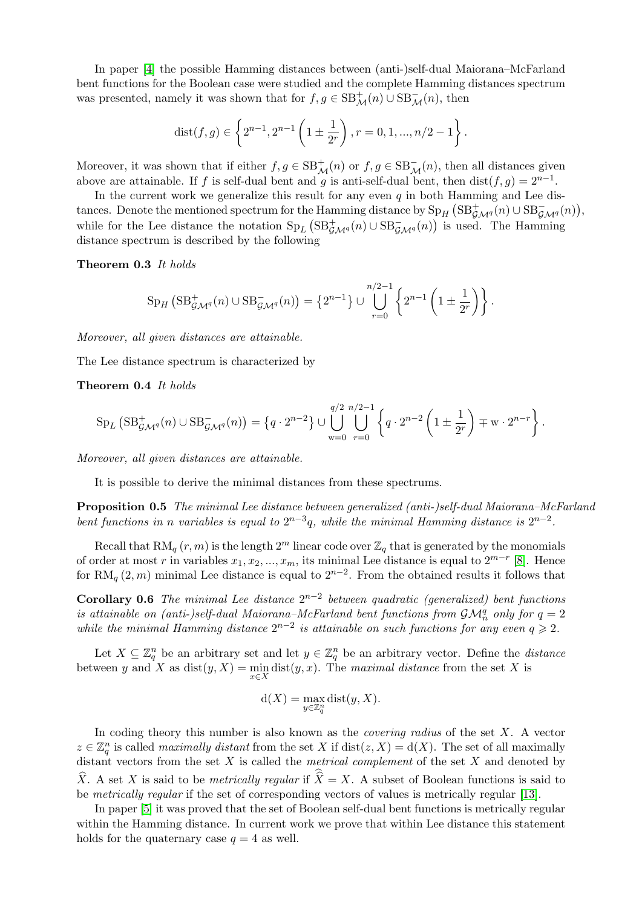In paper [\[4\]](#page-3-3) the possible Hamming distances between (anti-)self-dual Maiorana–McFarland bent functions for the Boolean case were studied and the complete Hamming distances spectrum was presented, namely it was shown that for  $f, g \in \text{SB}^+_{\mathcal{M}}(n) \cup \text{SB}^-_{\mathcal{M}}(n)$ , then

dist
$$
(f,g)
$$
  $\in \left\{2^{n-1}, 2^{n-1}\left(1 \pm \frac{1}{2^r}\right), r = 0, 1, ..., n/2 - 1\right\}.$ 

Moreover, it was shown that if either  $f, g \in SB_{\mathcal{M}}^+(n)$  or  $f, g \in SB_{\mathcal{M}}^-(n)$ , then all distances given above are attainable. If f is self-dual bent and g is anti-self-dual bent, then  $dist(f,g) = 2^{n-1}$ .

In the current work we generalize this result for any even  $q$  in both Hamming and Lee distances. Denote the mentioned spectrum for the Hamming distance by  $Sp_H(SB^+_{\mathcal{GM}^q}(n) \cup SB^-_{\mathcal{GM}^q}(n)),$ while for the Lee distance the notation  $Sp_L(SB^+_{\mathcal{G}M^q}(n) \cup SB^-_{\mathcal{G}M^q}(n))$  is used. The Hamming distance spectrum is described by the following

#### Theorem 0.3 It holds

$$
\operatorname{Sp}_{H}\left(\operatorname{SB}_{\mathcal{G}\mathcal{M}^{q}}^+(n)\cup\operatorname{SB}_{\mathcal{G}\mathcal{M}^{q}}^-(n)\right)=\left\{2^{n-1}\right\}\cup\bigcup_{r=0}^{n/2-1}\left\{2^{n-1}\left(1\pm\frac{1}{2^r}\right)\right\}.
$$

Moreover, all given distances are attainable.

The Lee distance spectrum is characterized by

### Theorem 0.4 It holds

$$
\mathrm{Sp}_{L}\left(\mathrm{SB}_{\mathcal{G}\mathcal{M}^{q}}^{+}(n)\cup \mathrm{SB}_{\mathcal{G}\mathcal{M}^{q}}^{-}(n)\right)=\left\{q\cdot 2^{n-2}\right\} \cup \bigcup_{w=0}^{q/2} \bigcup_{r=0}^{n/2-1} \left\{q\cdot 2^{n-2}\left(1\pm \frac{1}{2^{r}}\right) \mp w\cdot 2^{n-r}\right\}.
$$

Moreover, all given distances are attainable.

It is possible to derive the minimal distances from these spectrums.

Proposition 0.5 The minimal Lee distance between generalized (anti-)self-dual Maiorana–McFarland bent functions in n variables is equal to  $2^{n-3}q$ , while the minimal Hamming distance is  $2^{n-2}$ .

Recall that RM<sub>q</sub>  $(r, m)$  is the length  $2<sup>m</sup>$  linear code over  $\mathbb{Z}_q$  that is generated by the monomials of order at most r in variables  $x_1, x_2, ..., x_m$ , its minimal Lee distance is equal to  $2^{m-r}$  [\[8\]](#page-4-4). Hence for RM<sub>q</sub>  $(2, m)$  minimal Lee distance is equal to  $2^{n-2}$ . From the obtained results it follows that

Corollary 0.6 The minimal Lee distance  $2^{n-2}$  between quadratic (generalized) bent functions is attainable on (anti-)self-dual Maiorana–McFarland bent functions from  $\mathcal{GM}_n^q$  only for  $q=2$ while the minimal Hamming distance  $2^{n-2}$  is attainable on such functions for any even  $q \geqslant 2$ .

Let  $X \subseteq \mathbb{Z}_q^n$  be an arbitrary set and let  $y \in \mathbb{Z}_q^n$  be an arbitrary vector. Define the *distance* between y and X as  $dist(y, X) = \min_{x \in X} dist(y, x)$ . The maximal distance from the set X is

$$
\mathbf{d}(X) = \max_{y \in \mathbb{Z}_q^n} \text{dist}(y, X).
$$

In coding theory this number is also known as the *covering radius* of the set  $X$ . A vector  $z \in \mathbb{Z}_q^n$  is called *maximally distant* from the set X if dist( $z, X$ ) = d(X). The set of all maximally distant vectors from the set  $X$  is called the *metrical complement* of the set  $X$  and denoted by  $\widehat{X}$ . A set X is said to be *metrically regular* if  $\widehat{X} = X$ . A subset of Boolean functions is said to be metrically regular if the set of corresponding vectors of values is metrically regular [\[13\]](#page-4-5).

In paper [\[5\]](#page-3-4) it was proved that the set of Boolean self-dual bent functions is metrically regular within the Hamming distance. In current work we prove that within Lee distance this statement holds for the quaternary case  $q = 4$  as well.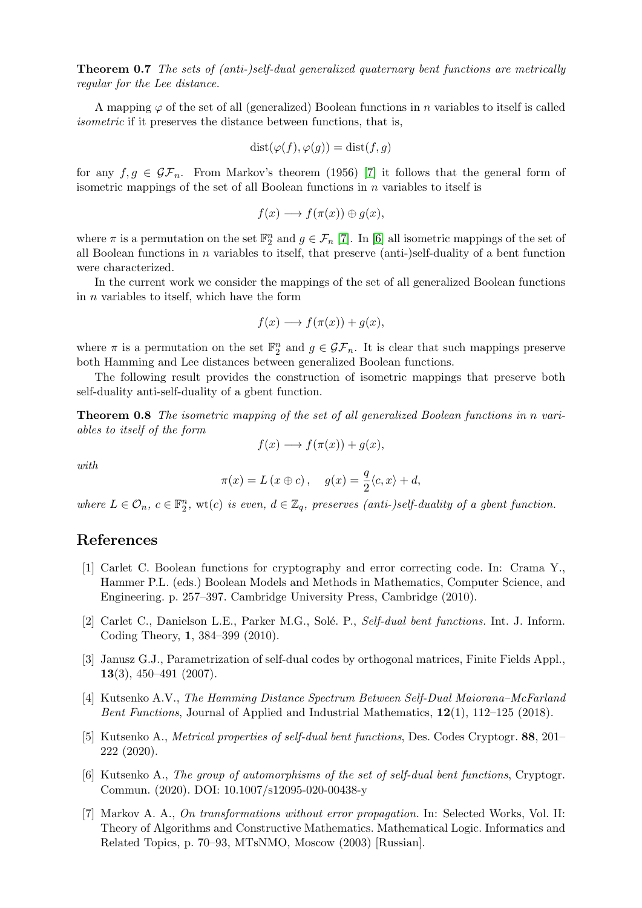Theorem 0.7 The sets of (anti-)self-dual generalized quaternary bent functions are metrically regular for the Lee distance.

A mapping  $\varphi$  of the set of all (generalized) Boolean functions in *n* variables to itself is called isometric if it preserves the distance between functions, that is,

$$
dist(\varphi(f), \varphi(g)) = dist(f, g)
$$

for any  $f, g \in \mathcal{GF}_n$ . From Markov's theorem (1956) [\[7\]](#page-3-5) it follows that the general form of isometric mappings of the set of all Boolean functions in  $n$  variables to itself is

$$
f(x) \longrightarrow f(\pi(x)) \oplus g(x),
$$

where  $\pi$  is a permutation on the set  $\mathbb{F}_2^n$  and  $g \in \mathcal{F}_n$  [\[7\]](#page-3-5). In [\[6\]](#page-3-6) all isometric mappings of the set of all Boolean functions in  $n$  variables to itself, that preserve (anti-)self-duality of a bent function were characterized.

In the current work we consider the mappings of the set of all generalized Boolean functions in  $n$  variables to itself, which have the form

$$
f(x) \longrightarrow f(\pi(x)) + g(x),
$$

where  $\pi$  is a permutation on the set  $\mathbb{F}_2^n$  and  $g \in \mathcal{GF}_n$ . It is clear that such mappings preserve both Hamming and Lee distances between generalized Boolean functions.

The following result provides the construction of isometric mappings that preserve both self-duality anti-self-duality of a gbent function.

Theorem 0.8 The isometric mapping of the set of all generalized Boolean functions in n variables to itself of the form

 $f(x) \longrightarrow f(\pi(x)) + q(x),$ 

with

$$
\pi(x) = L(x \oplus c), \quad g(x) = \frac{q}{2} \langle c, x \rangle + d,
$$

where  $L \in \mathcal{O}_n$ ,  $c \in \mathbb{F}_2^n$ , wt $(c)$  is even,  $d \in \mathbb{Z}_q$ , preserves (anti-)self-duality of a gbent function.

## References

- <span id="page-3-1"></span>[1] Carlet C. Boolean functions for cryptography and error correcting code. In: Crama Y., Hammer P.L. (eds.) Boolean Models and Methods in Mathematics, Computer Science, and Engineering. p. 257–397. Cambridge University Press, Cambridge (2010).
- <span id="page-3-2"></span>[2] Carlet C., Danielson L.E., Parker M.G., Solé. P., Self-dual bent functions. Int. J. Inform. Coding Theory, 1, 384–399 (2010).
- <span id="page-3-0"></span>[3] Janusz G.J., Parametrization of self-dual codes by orthogonal matrices, Finite Fields Appl., 13(3), 450–491 (2007).
- <span id="page-3-3"></span>[4] Kutsenko A.V., The Hamming Distance Spectrum Between Self-Dual Maiorana–McFarland Bent Functions, Journal of Applied and Industrial Mathematics, 12(1), 112–125 (2018).
- <span id="page-3-4"></span>[5] Kutsenko A., Metrical properties of self-dual bent functions, Des. Codes Cryptogr. 88, 201– 222 (2020).
- <span id="page-3-6"></span>[6] Kutsenko A., The group of automorphisms of the set of self-dual bent functions, Cryptogr. Commun. (2020). DOI: 10.1007/s12095-020-00438-y
- <span id="page-3-5"></span>[7] Markov A. A., On transformations without error propagation. In: Selected Works, Vol. II: Theory of Algorithms and Constructive Mathematics. Mathematical Logic. Informatics and Related Topics, p. 70–93, MTsNMO, Moscow (2003) [Russian].